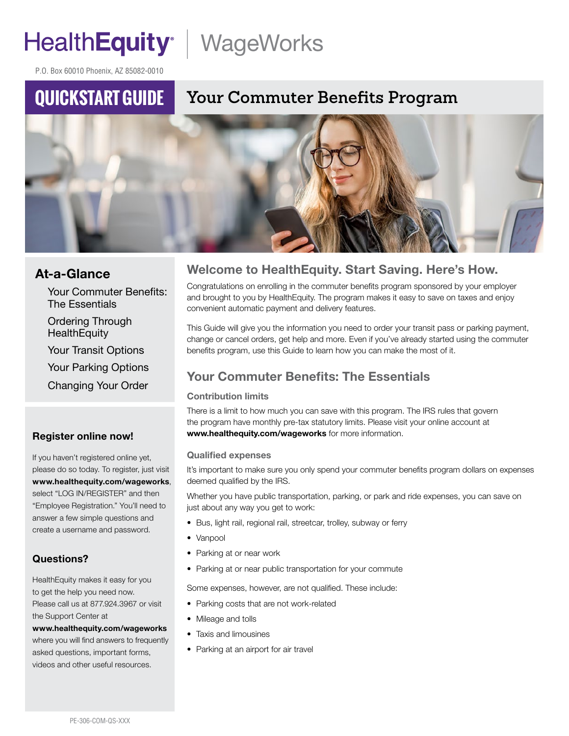# HealthEquity | WageWorks

P.O. Box 60010 Phoenix, AZ 85082-0010

## **QUICKSTART GUIDE**

## **Your Commuter Benefits Program**



#### At-a-Glance

Your Commuter Benefits: The Essentials

Ordering Through **HealthEquity** 

Your Transit Options

Your Parking Options

Changing Your Order

#### Register online now!

If you haven't registered online yet, please do so today. To register, just visit www.healthequity.com/wageworks, select "LOG IN/REGISTER" and then "Employee Registration." You'll need to answer a few simple questions and create a username and password.

#### Questions?

HealthEquity makes it easy for you to get the help you need now. Please call us at 877.924.3967 or visit the Support Center at

www.healthequity.com/wageworks where you will find answers to frequently asked questions, important forms, videos and other useful resources.

#### Welcome to HealthEquity. Start Saving. Here's How.

Congratulations on enrolling in the commuter benefits program sponsored by your employer and brought to you by HealthEquity. The program makes it easy to save on taxes and enjoy convenient automatic payment and delivery features.

This Guide will give you the information you need to order your transit pass or parking payment, change or cancel orders, get help and more. Even if you've already started using the commuter benefits program, use this Guide to learn how you can make the most of it.

### Your Commuter Benefits: The Essentials

#### Contribution limits

There is a limit to how much you can save with this program. The IRS rules that govern the program have monthly pre-tax statutory limits. Please visit your online account at www.healthequity.com/wageworks for more information.

#### Qualified expenses

It's important to make sure you only spend your commuter benefits program dollars on expenses deemed qualified by the IRS.

Whether you have public transportation, parking, or park and ride expenses, you can save on just about any way you get to work:

- Bus, light rail, regional rail, streetcar, trolley, subway or ferry
- Vanpool
- Parking at or near work
- Parking at or near public transportation for your commute

Some expenses, however, are not qualified. These include:

- Parking costs that are not work-related
- Mileage and tolls
- Taxis and limousines
- Parking at an airport for air travel